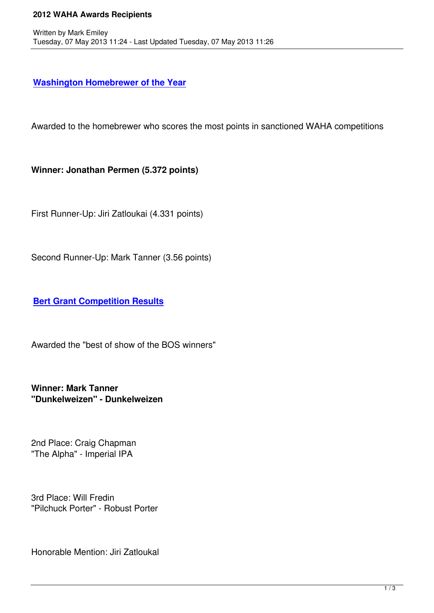## **Washington Homebrewer of the Year**

[Awarded to the homebrewer who scores](waha-home/146?task=view) the most points in sanctioned WAHA competitions

**Winner: Jonathan Permen (5.372 points)**

First Runner-Up: Jiri Zatloukai (4.331 points)

Second Runner-Up: Mark Tanner (3.56 points)

**Bert Grant Competition Results**

[Awarded the "best of show of the B](waha-home/147?task=view)OS winners"

**Winner: Mark Tanner "Dunkelweizen" - Dunkelweizen**

2nd Place: Craig Chapman "The Alpha" - Imperial IPA

3rd Place: Will Fredin "Pilchuck Porter" - Robust Porter

Honorable Mention: Jiri Zatloukal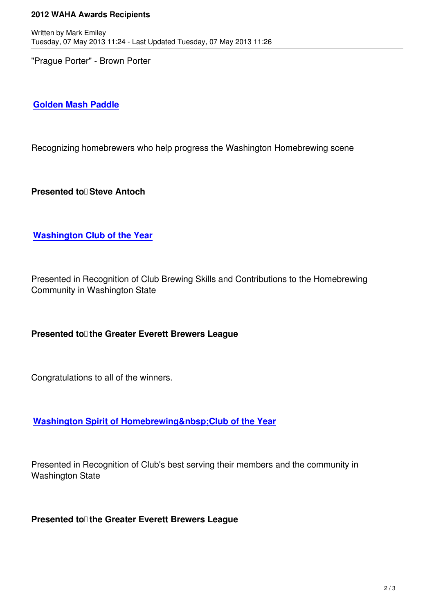"Prague Porter" - Brown Porter

## **Golden Mash Paddle**

[Recognizing homebrew](about-us/waha-projects/158?task=view)ers who help progress the Washington Homebrewing scene

**Presented to Steve Antoch** 

**Washington Club of the Year**

[Presented in Recognition of Clu](awards/180)b Brewing Skills and Contributions to the Homebrewing Community in Washington State

## **Presented to the Greater Everett Brewers League**

Congratulations to all of the winners.

**Washington Spirit of Homebrewing Club of the Year** 

[Presented in Recognition of Club's best serving their members a](awards/392)nd the community in Washington State

**Presented to the Greater Everett Brewers League**